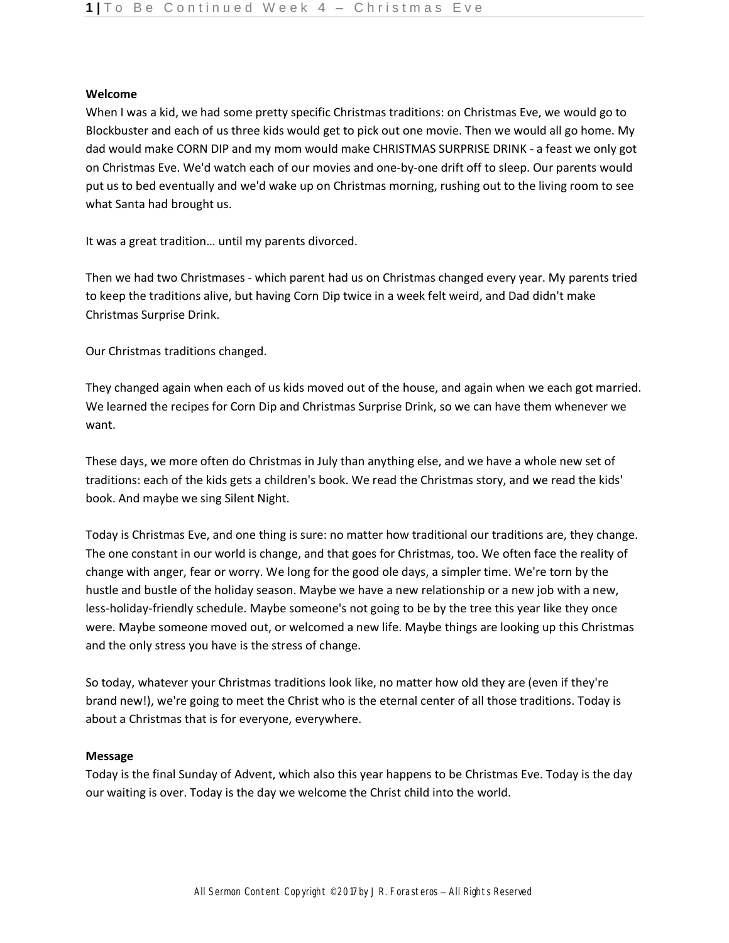### **Welcome**

When I was a kid, we had some pretty specific Christmas traditions: on Christmas Eve, we would go to Blockbuster and each of us three kids would get to pick out one movie. Then we would all go home. My dad would make CORN DIP and my mom would make CHRISTMAS SURPRISE DRINK - a feast we only got on Christmas Eve. We'd watch each of our movies and one-by-one drift off to sleep. Our parents would put us to bed eventually and we'd wake up on Christmas morning, rushing out to the living room to see what Santa had brought us.

It was a great tradition… until my parents divorced.

Then we had two Christmases - which parent had us on Christmas changed every year. My parents tried to keep the traditions alive, but having Corn Dip twice in a week felt weird, and Dad didn't make Christmas Surprise Drink.

Our Christmas traditions changed.

They changed again when each of us kids moved out of the house, and again when we each got married. We learned the recipes for Corn Dip and Christmas Surprise Drink, so we can have them whenever we want.

These days, we more often do Christmas in July than anything else, and we have a whole new set of traditions: each of the kids gets a children's book. We read the Christmas story, and we read the kids' book. And maybe we sing Silent Night.

Today is Christmas Eve, and one thing is sure: no matter how traditional our traditions are, they change. The one constant in our world is change, and that goes for Christmas, too. We often face the reality of change with anger, fear or worry. We long for the good ole days, a simpler time. We're torn by the hustle and bustle of the holiday season. Maybe we have a new relationship or a new job with a new, less-holiday-friendly schedule. Maybe someone's not going to be by the tree this year like they once were. Maybe someone moved out, or welcomed a new life. Maybe things are looking up this Christmas and the only stress you have is the stress of change.

So today, whatever your Christmas traditions look like, no matter how old they are (even if they're brand new!), we're going to meet the Christ who is the eternal center of all those traditions. Today is about a Christmas that is for everyone, everywhere.

## **Message**

Today is the final Sunday of Advent, which also this year happens to be Christmas Eve. Today is the day our waiting is over. Today is the day we welcome the Christ child into the world.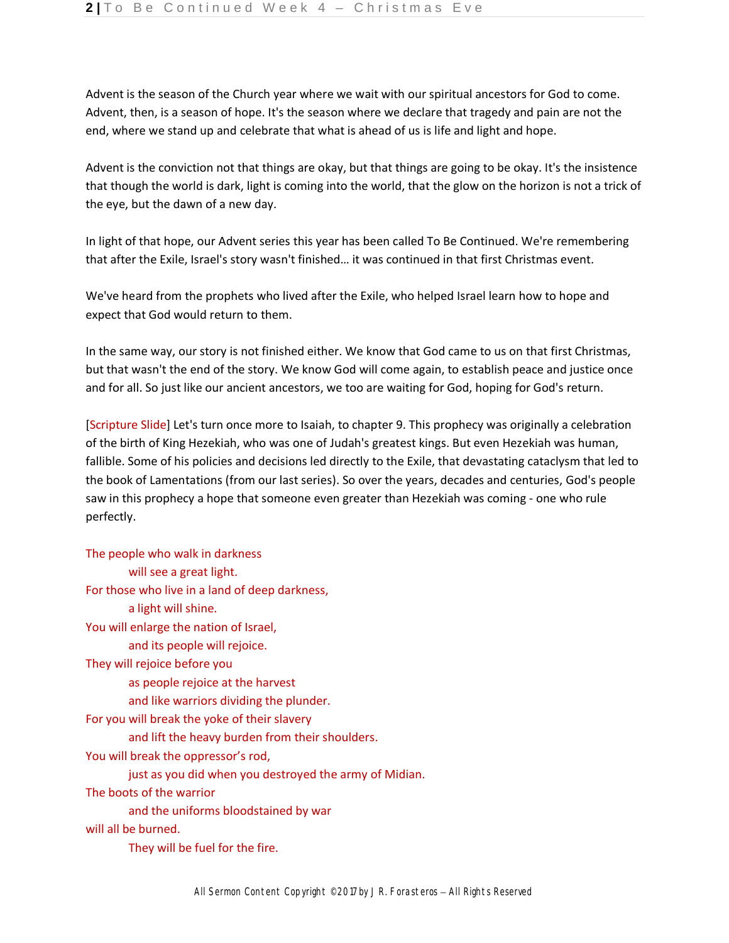Advent is the season of the Church year where we wait with our spiritual ancestors for God to come. Advent, then, is a season of hope. It's the season where we declare that tragedy and pain are not the end, where we stand up and celebrate that what is ahead of us is life and light and hope.

Advent is the conviction not that things are okay, but that things are going to be okay. It's the insistence that though the world is dark, light is coming into the world, that the glow on the horizon is not a trick of the eye, but the dawn of a new day.

In light of that hope, our Advent series this year has been called To Be Continued. We're remembering that after the Exile, Israel's story wasn't finished… it was continued in that first Christmas event.

We've heard from the prophets who lived after the Exile, who helped Israel learn how to hope and expect that God would return to them.

In the same way, our story is not finished either. We know that God came to us on that first Christmas, but that wasn't the end of the story. We know God will come again, to establish peace and justice once and for all. So just like our ancient ancestors, we too are waiting for God, hoping for God's return.

[Scripture Slide] Let's turn once more to Isaiah, to chapter 9. This prophecy was originally a celebration of the birth of King Hezekiah, who was one of Judah's greatest kings. But even Hezekiah was human, fallible. Some of his policies and decisions led directly to the Exile, that devastating cataclysm that led to the book of Lamentations (from our last series). So over the years, decades and centuries, God's people saw in this prophecy a hope that someone even greater than Hezekiah was coming - one who rule perfectly.

The people who walk in darkness will see a great light. For those who live in a land of deep darkness, a light will shine. You will enlarge the nation of Israel, and its people will rejoice. They will rejoice before you as people rejoice at the harvest and like warriors dividing the plunder. For you will break the yoke of their slavery and lift the heavy burden from their shoulders. You will break the oppressor's rod, just as you did when you destroyed the army of Midian. The boots of the warrior and the uniforms bloodstained by war will all be burned. They will be fuel for the fire.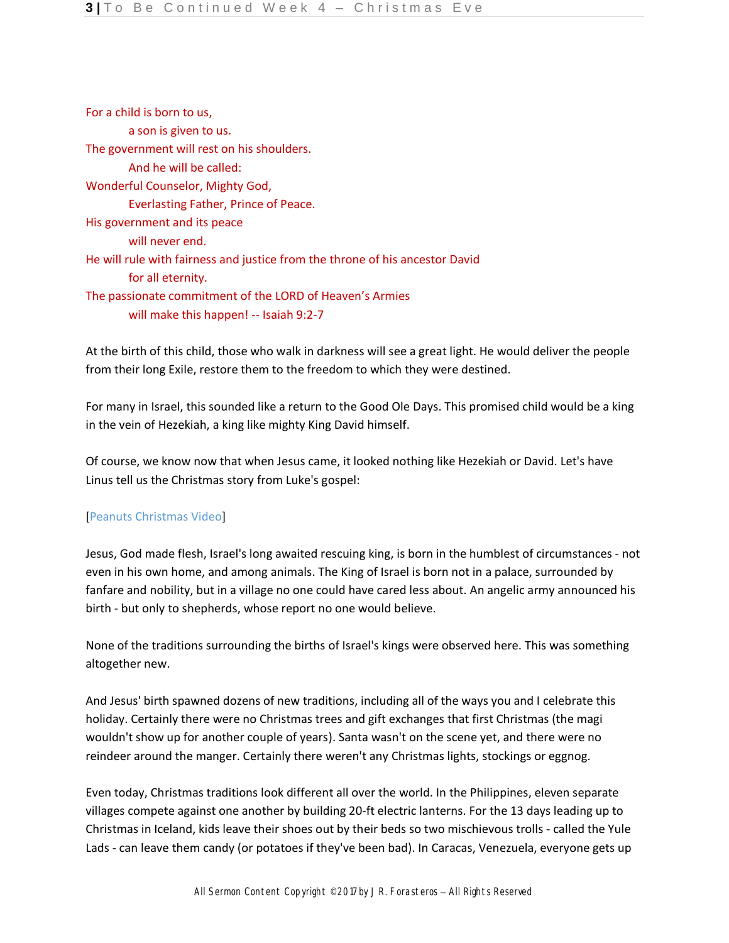For a child is born to us, a son is given to us. The government will rest on his shoulders. And he will be called: Wonderful Counselor, Mighty God, Everlasting Father, Prince of Peace. His government and its peace will never end. He will rule with fairness and justice from the throne of his ancestor David for all eternity. The passionate commitment of the LORD of Heaven's Armies will make this happen! -- Isaiah 9:2-7

At the birth of this child, those who walk in darkness will see a great light. He would deliver the people from their long Exile, restore them to the freedom to which they were destined.

For many in Israel, this sounded like a return to the Good Ole Days. This promised child would be a king in the vein of Hezekiah, a king like mighty King David himself.

Of course, we know now that when Jesus came, it looked nothing like Hezekiah or David. Let's have Linus tell us the Christmas story from Luke's gospel:

# [Peanuts Christmas Video]

Jesus, God made flesh, Israel's long awaited rescuing king, is born in the humblest of circumstances - not even in his own home, and among animals. The King of Israel is born not in a palace, surrounded by fanfare and nobility, but in a village no one could have cared less about. An angelic army announced his birth - but only to shepherds, whose report no one would believe.

None of the traditions surrounding the births of Israel's kings were observed here. This was something altogether new.

And Jesus' birth spawned dozens of new traditions, including all of the ways you and I celebrate this holiday. Certainly there were no Christmas trees and gift exchanges that first Christmas (the magi wouldn't show up for another couple of years). Santa wasn't on the scene yet, and there were no reindeer around the manger. Certainly there weren't any Christmas lights, stockings or eggnog.

Even today, Christmas traditions look different all over the world. In the Philippines, eleven separate villages compete against one another by building 20-ft electric lanterns. For the 13 days leading up to Christmas in Iceland, kids leave their shoes out by their beds so two mischievous trolls - called the Yule Lads - can leave them candy (or potatoes if they've been bad). In Caracas, Venezuela, everyone gets up